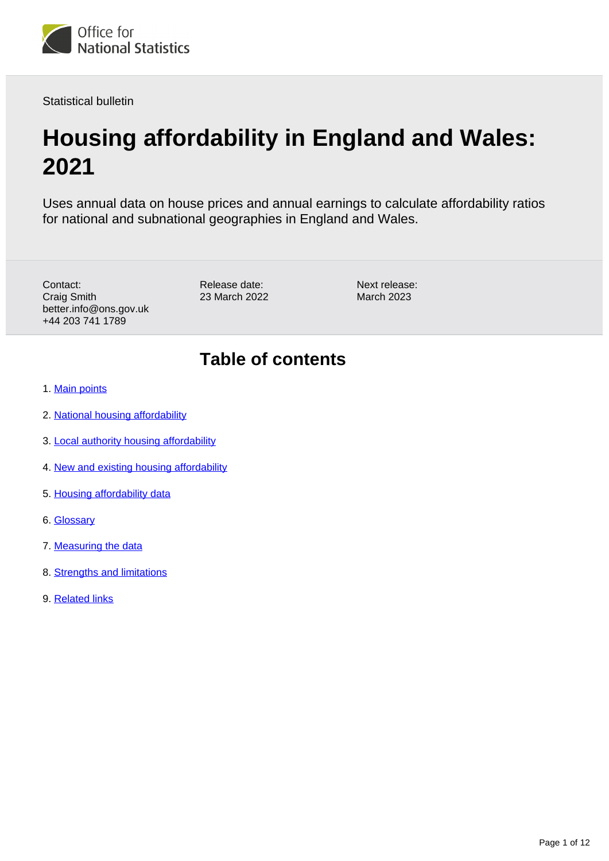

Statistical bulletin

# **Housing affordability in England and Wales: 2021**

Uses annual data on house prices and annual earnings to calculate affordability ratios for national and subnational geographies in England and Wales.

Contact: Craig Smith better.info@ons.gov.uk +44 203 741 1789

Release date: 23 March 2022 Next release: March 2023

## **Table of contents**

- 1. [Main points](#page-1-0)
- 2. [National housing affordability](#page-2-0)
- 3. [Local authority housing affordability](#page-3-0)
- 4. [New and existing housing affordability](#page-7-0)
- 5. [Housing affordability data](#page-8-0)
- 6. [Glossary](#page-8-1)
- 7. [Measuring the data](#page-9-0)
- 8. [Strengths and limitations](#page-10-0)
- 9. [Related links](#page-11-0)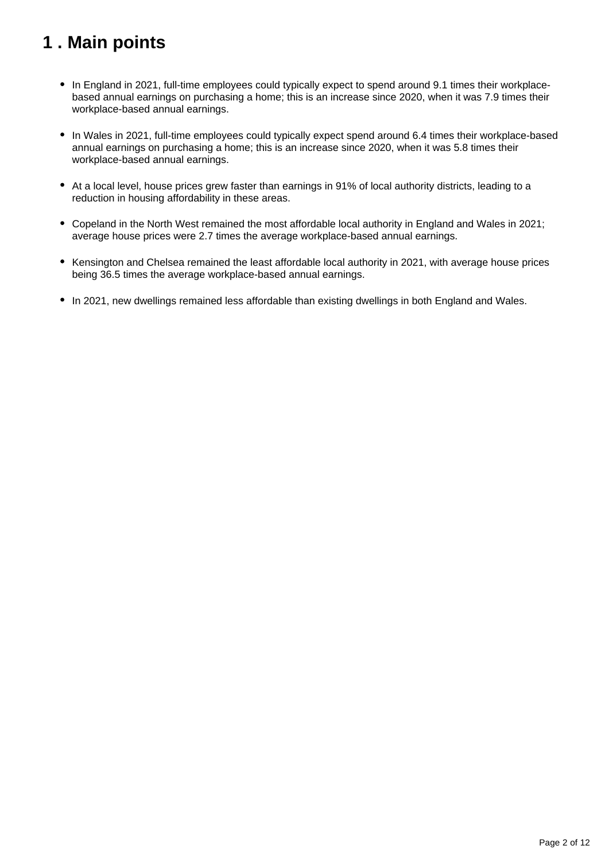## <span id="page-1-0"></span>**1 . Main points**

- In England in 2021, full-time employees could typically expect to spend around 9.1 times their workplacebased annual earnings on purchasing a home; this is an increase since 2020, when it was 7.9 times their workplace-based annual earnings.
- In Wales in 2021, full-time employees could typically expect spend around 6.4 times their workplace-based annual earnings on purchasing a home; this is an increase since 2020, when it was 5.8 times their workplace-based annual earnings.
- At a local level, house prices grew faster than earnings in 91% of local authority districts, leading to a reduction in housing affordability in these areas.
- Copeland in the North West remained the most affordable local authority in England and Wales in 2021; average house prices were 2.7 times the average workplace-based annual earnings.
- Kensington and Chelsea remained the least affordable local authority in 2021, with average house prices being 36.5 times the average workplace-based annual earnings.
- In 2021, new dwellings remained less affordable than existing dwellings in both England and Wales.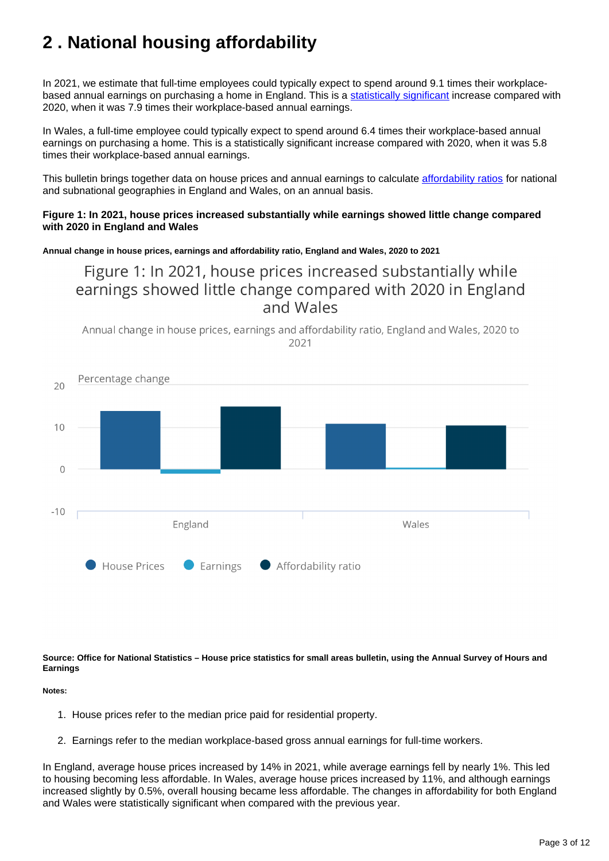## <span id="page-2-0"></span>**2 . National housing affordability**

In 2021, we estimate that full-time employees could typically expect to spend around 9.1 times their workplacebased annual earnings on purchasing a home in England. This is a [statistically significant](https://www.ons.gov.uk/methodology/methodologytopicsandstatisticalconcepts/uncertaintyandhowwemeasureit#:~:text=Statistical%20significance,-We%20can%20use&text=A%20result%20is%20said%20to,variable%20nature%20of%20the%20samples.) increase compared with 2020, when it was 7.9 times their workplace-based annual earnings.

In Wales, a full-time employee could typically expect to spend around 6.4 times their workplace-based annual earnings on purchasing a home. This is a statistically significant increase compared with 2020, when it was 5.8 times their workplace-based annual earnings.

This bulletin brings together data on house prices and annual earnings to calculate [affordability ratios](https://www.ons.gov.uk/peoplepopulationandcommunity/housing/bulletins/housingaffordabilityinenglandandwales/2021#glossary) for national and subnational geographies in England and Wales, on an annual basis.

#### **Figure 1: In 2021, house prices increased substantially while earnings showed little change compared with 2020 in England and Wales**

**Annual change in house prices, earnings and affordability ratio, England and Wales, 2020 to 2021**

Figure 1: In 2021, house prices increased substantially while earnings showed little change compared with 2020 in England and Wales





**Source: Office for National Statistics – House price statistics for small areas bulletin, using the Annual Survey of Hours and Earnings**

#### **Notes:**

- 1. House prices refer to the median price paid for residential property.
- 2. Earnings refer to the median workplace-based gross annual earnings for full-time workers.

In England, average house prices increased by 14% in 2021, while average earnings fell by nearly 1%. This led to housing becoming less affordable. In Wales, average house prices increased by 11%, and although earnings increased slightly by 0.5%, overall housing became less affordable. The changes in affordability for both England and Wales were statistically significant when compared with the previous year.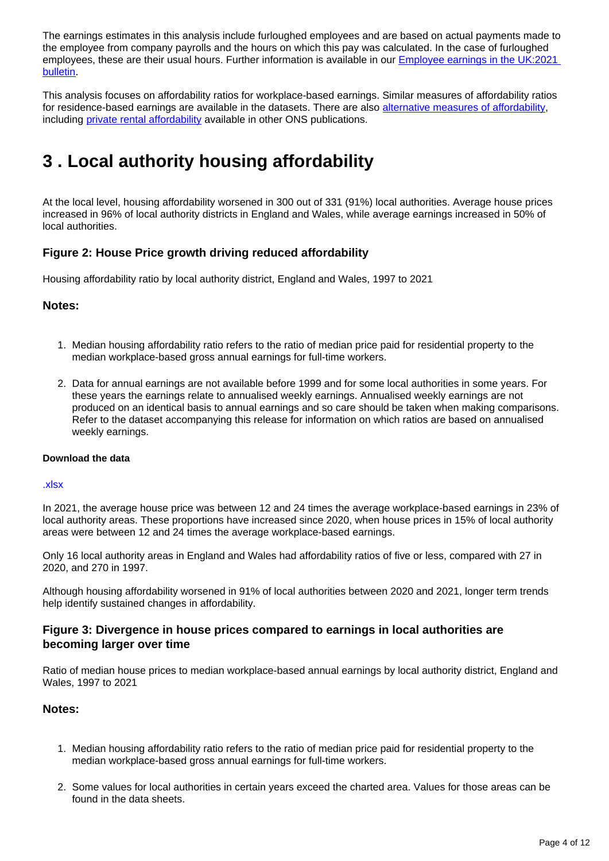The earnings estimates in this analysis include furloughed employees and are based on actual payments made to the employee from company payrolls and the hours on which this pay was calculated. In the case of furloughed employees, these are their usual hours. Further information is available in our [Employee earnings in the UK:2021](https://www.ons.gov.uk/employmentandlabourmarket/peopleinwork/earningsandworkinghours/bulletins/annualsurveyofhoursandearnings/2021)  [bulletin.](https://www.ons.gov.uk/employmentandlabourmarket/peopleinwork/earningsandworkinghours/bulletins/annualsurveyofhoursandearnings/2021)

This analysis focuses on affordability ratios for workplace-based earnings. Similar measures of affordability ratios for residence-based earnings are available in the datasets. There are also [alternative measures of affordability](https://www.ons.gov.uk/peoplepopulationandcommunity/housing/articles/alternativemeasuresofhousingaffordability/financialyearending2018), including [private rental affordability](https://www.ons.gov.uk/peoplepopulationandcommunity/housing/bulletins/privaterentalaffordabilityengland/latest) available in other ONS publications.

## <span id="page-3-0"></span>**3 . Local authority housing affordability**

At the local level, housing affordability worsened in 300 out of 331 (91%) local authorities. Average house prices increased in 96% of local authority districts in England and Wales, while average earnings increased in 50% of local authorities.

#### **Figure 2: House Price growth driving reduced affordability**

Housing affordability ratio by local authority district, England and Wales, 1997 to 2021

#### **Notes:**

- 1. Median housing affordability ratio refers to the ratio of median price paid for residential property to the median workplace-based gross annual earnings for full-time workers.
- 2. Data for annual earnings are not available before 1999 and for some local authorities in some years. For these years the earnings relate to annualised weekly earnings. Annualised weekly earnings are not produced on an identical basis to annual earnings and so care should be taken when making comparisons. Refer to the dataset accompanying this release for information on which ratios are based on annualised weekly earnings.

#### **Download the data**

#### [.xlsx](https://www.ons.gov.uk/visualisations/dvc1842/map/datadownload.xlsx )

In 2021, the average house price was between 12 and 24 times the average workplace-based earnings in 23% of local authority areas. These proportions have increased since 2020, when house prices in 15% of local authority areas were between 12 and 24 times the average workplace-based earnings.

Only 16 local authority areas in England and Wales had affordability ratios of five or less, compared with 27 in 2020, and 270 in 1997.

Although housing affordability worsened in 91% of local authorities between 2020 and 2021, longer term trends help identify sustained changes in affordability.

#### **Figure 3: Divergence in house prices compared to earnings in local authorities are becoming larger over time**

Ratio of median house prices to median workplace-based annual earnings by local authority district, England and Wales, 1997 to 2021

#### **Notes:**

- 1. Median housing affordability ratio refers to the ratio of median price paid for residential property to the median workplace-based gross annual earnings for full-time workers.
- 2. Some values for local authorities in certain years exceed the charted area. Values for those areas can be found in the data sheets.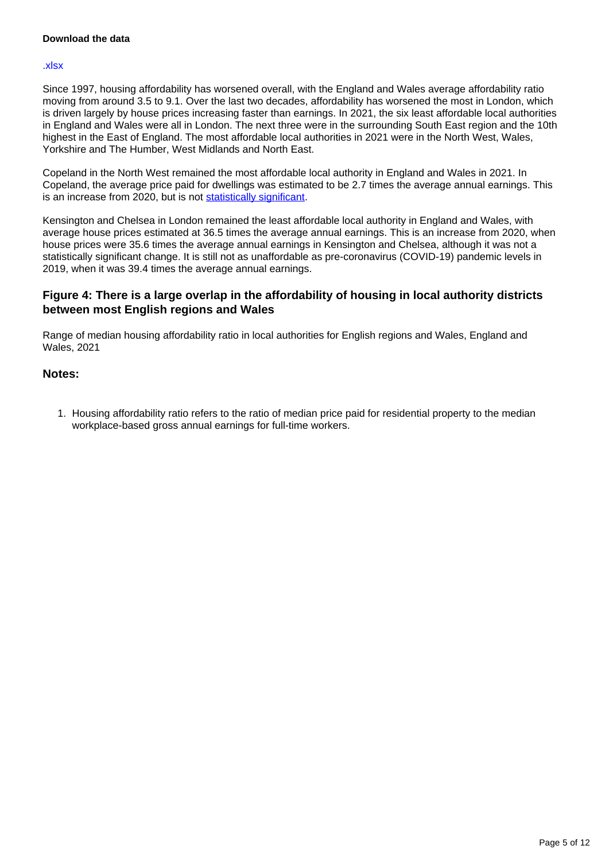#### **Download the data**

#### [.xlsx](https://www.ons.gov.uk/visualisations/dvc1842/animation2/datadownload.xlsx )

Since 1997, housing affordability has worsened overall, with the England and Wales average affordability ratio moving from around 3.5 to 9.1. Over the last two decades, affordability has worsened the most in London, which is driven largely by house prices increasing faster than earnings. In 2021, the six least affordable local authorities in England and Wales were all in London. The next three were in the surrounding South East region and the 10th highest in the East of England. The most affordable local authorities in 2021 were in the North West, Wales, Yorkshire and The Humber, West Midlands and North East.

Copeland in the North West remained the most affordable local authority in England and Wales in 2021. In Copeland, the average price paid for dwellings was estimated to be 2.7 times the average annual earnings. This is an increase from 2020, but is not [statistically significant](https://www.ons.gov.uk/methodology/methodologytopicsandstatisticalconcepts/uncertaintyandhowwemeasureit#:~:text=Statistical%20significance,-We%20can%20use&text=A%20result%20is%20said%20to,variable%20nature%20of%20the%20samples.).

Kensington and Chelsea in London remained the least affordable local authority in England and Wales, with average house prices estimated at 36.5 times the average annual earnings. This is an increase from 2020, when house prices were 35.6 times the average annual earnings in Kensington and Chelsea, although it was not a statistically significant change. It is still not as unaffordable as pre-coronavirus (COVID-19) pandemic levels in 2019, when it was 39.4 times the average annual earnings.

#### **Figure 4: There is a large overlap in the affordability of housing in local authority districts between most English regions and Wales**

Range of median housing affordability ratio in local authorities for English regions and Wales, England and Wales, 2021

#### **Notes:**

1. Housing affordability ratio refers to the ratio of median price paid for residential property to the median workplace-based gross annual earnings for full-time workers.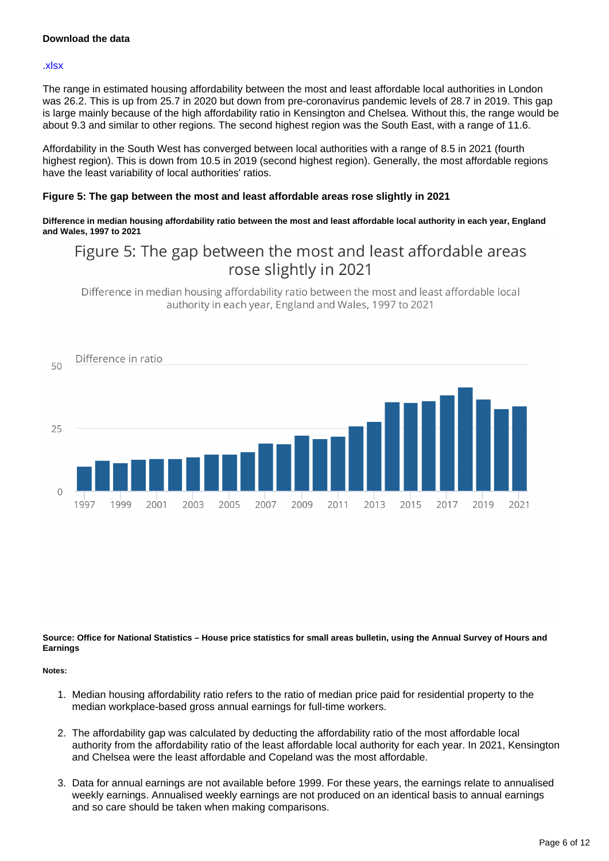#### **Download the data**

#### [.xlsx](https://www.ons.gov.uk/visualisations/dvc1842/beeswarm/multiplebeeswarms/datadownload.xlsx)

The range in estimated housing affordability between the most and least affordable local authorities in London was 26.2. This is up from 25.7 in 2020 but down from pre-coronavirus pandemic levels of 28.7 in 2019. This gap is large mainly because of the high affordability ratio in Kensington and Chelsea. Without this, the range would be about 9.3 and similar to other regions. The second highest region was the South East, with a range of 11.6.

Affordability in the South West has converged between local authorities with a range of 8.5 in 2021 (fourth highest region). This is down from 10.5 in 2019 (second highest region). Generally, the most affordable regions have the least variability of local authorities' ratios.

#### **Figure 5: The gap between the most and least affordable areas rose slightly in 2021**

**Difference in median housing affordability ratio between the most and least affordable local authority in each year, England and Wales, 1997 to 2021**

## Figure 5: The gap between the most and least affordable areas rose slightly in 2021

Difference in median housing affordability ratio between the most and least affordable local authority in each year, England and Wales, 1997 to 2021



#### **Source: Office for National Statistics – House price statistics for small areas bulletin, using the Annual Survey of Hours and Earnings**

**Notes:**

- 1. Median housing affordability ratio refers to the ratio of median price paid for residential property to the median workplace-based gross annual earnings for full-time workers.
- 2. The affordability gap was calculated by deducting the affordability ratio of the most affordable local authority from the affordability ratio of the least affordable local authority for each year. In 2021, Kensington and Chelsea were the least affordable and Copeland was the most affordable.
- 3. Data for annual earnings are not available before 1999. For these years, the earnings relate to annualised weekly earnings. Annualised weekly earnings are not produced on an identical basis to annual earnings and so care should be taken when making comparisons.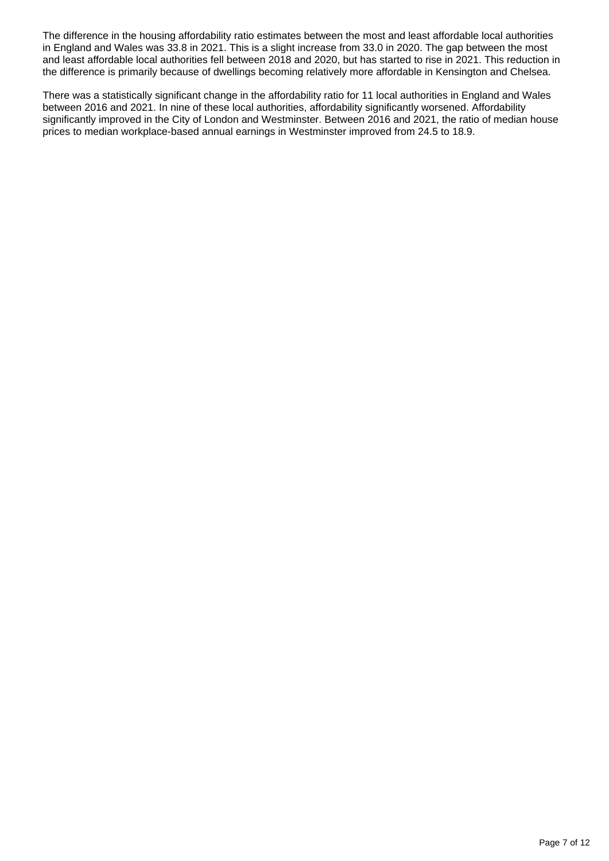The difference in the housing affordability ratio estimates between the most and least affordable local authorities in England and Wales was 33.8 in 2021. This is a slight increase from 33.0 in 2020. The gap between the most and least affordable local authorities fell between 2018 and 2020, but has started to rise in 2021. This reduction in the difference is primarily because of dwellings becoming relatively more affordable in Kensington and Chelsea.

There was a statistically significant change in the affordability ratio for 11 local authorities in England and Wales between 2016 and 2021. In nine of these local authorities, affordability significantly worsened. Affordability significantly improved in the City of London and Westminster. Between 2016 and 2021, the ratio of median house prices to median workplace-based annual earnings in Westminster improved from 24.5 to 18.9.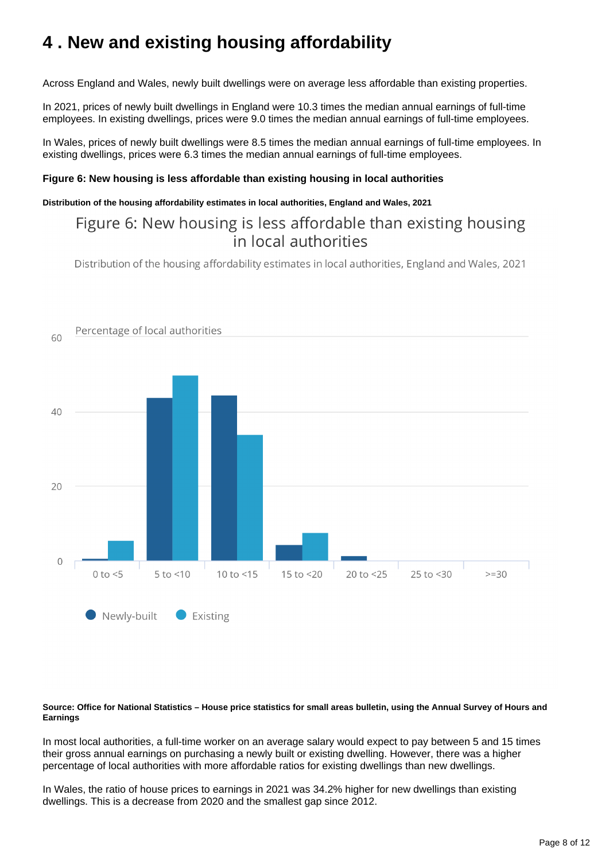## <span id="page-7-0"></span>**4 . New and existing housing affordability**

Across England and Wales, newly built dwellings were on average less affordable than existing properties.

In 2021, prices of newly built dwellings in England were 10.3 times the median annual earnings of full-time employees. In existing dwellings, prices were 9.0 times the median annual earnings of full-time employees.

In Wales, prices of newly built dwellings were 8.5 times the median annual earnings of full-time employees. In existing dwellings, prices were 6.3 times the median annual earnings of full-time employees.

#### **Figure 6: New housing is less affordable than existing housing in local authorities**

#### **Distribution of the housing affordability estimates in local authorities, England and Wales, 2021**

### Figure 6: New housing is less affordable than existing housing in local authorities

Distribution of the housing affordability estimates in local authorities, England and Wales, 2021



#### **Source: Office for National Statistics – House price statistics for small areas bulletin, using the Annual Survey of Hours and Earnings**

In most local authorities, a full-time worker on an average salary would expect to pay between 5 and 15 times their gross annual earnings on purchasing a newly built or existing dwelling. However, there was a higher percentage of local authorities with more affordable ratios for existing dwellings than new dwellings.

In Wales, the ratio of house prices to earnings in 2021 was 34.2% higher for new dwellings than existing dwellings. This is a decrease from 2020 and the smallest gap since 2012.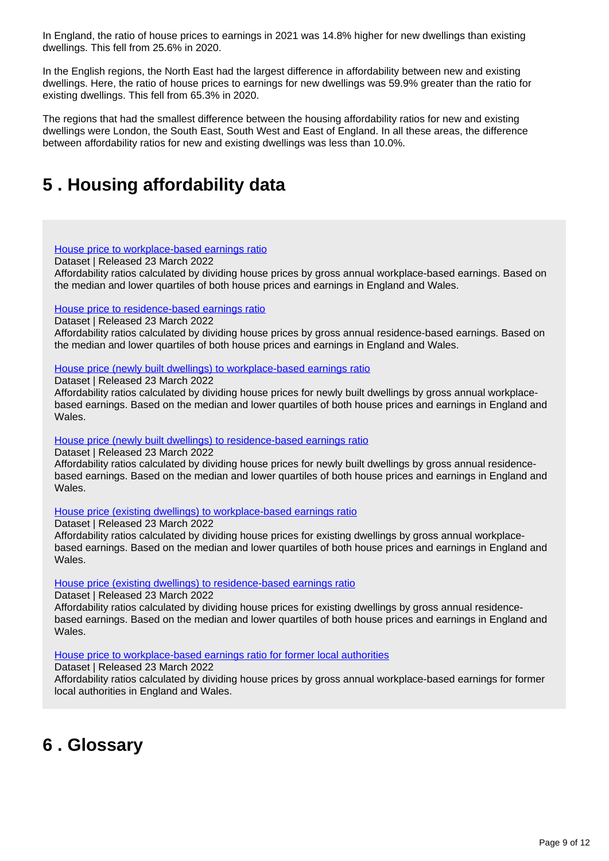In England, the ratio of house prices to earnings in 2021 was 14.8% higher for new dwellings than existing dwellings. This fell from 25.6% in 2020.

In the English regions, the North East had the largest difference in affordability between new and existing dwellings. Here, the ratio of house prices to earnings for new dwellings was 59.9% greater than the ratio for existing dwellings. This fell from 65.3% in 2020.

The regions that had the smallest difference between the housing affordability ratios for new and existing dwellings were London, the South East, South West and East of England. In all these areas, the difference between affordability ratios for new and existing dwellings was less than 10.0%.

## <span id="page-8-0"></span>**5 . Housing affordability data**

#### [House price to workplace-based earnings ratio](https://www.ons.gov.uk/peoplepopulationandcommunity/housing/datasets/ratioofhousepricetoworkplacebasedearningslowerquartileandmedian)

Dataset | Released 23 March 2022

Affordability ratios calculated by dividing house prices by gross annual workplace-based earnings. Based on the median and lower quartiles of both house prices and earnings in England and Wales.

#### [House price to residence-based earnings ratio](https://www.ons.gov.uk/peoplepopulationandcommunity/housing/datasets/ratioofhousepricetoresidencebasedearningslowerquartileandmedian)

Dataset | Released 23 March 2022

Affordability ratios calculated by dividing house prices by gross annual residence-based earnings. Based on the median and lower quartiles of both house prices and earnings in England and Wales.

#### [House price \(newly built dwellings\) to workplace-based earnings ratio](https://www.ons.gov.uk/peoplepopulationandcommunity/housing/datasets/housepricenewlybuiltdwellingstoworkplacebasedearningsratio)

Dataset | Released 23 March 2022

Affordability ratios calculated by dividing house prices for newly built dwellings by gross annual workplacebased earnings. Based on the median and lower quartiles of both house prices and earnings in England and Wales.

#### [House price \(newly built dwellings\) to residence-based earnings ratio](https://www.ons.gov.uk/peoplepopulationandcommunity/housing/datasets/housepricenewlybuiltdwellingstoresidencebasedearningsratio)

Dataset | Released 23 March 2022

Affordability ratios calculated by dividing house prices for newly built dwellings by gross annual residencebased earnings. Based on the median and lower quartiles of both house prices and earnings in England and Wales.

#### [House price \(existing dwellings\) to workplace-based earnings ratio](https://www.ons.gov.uk/peoplepopulationandcommunity/housing/datasets/housepriceexistingdwellingstoworkplacebasedearningsratio)

Dataset | Released 23 March 2022

Affordability ratios calculated by dividing house prices for existing dwellings by gross annual workplacebased earnings. Based on the median and lower quartiles of both house prices and earnings in England and Wales.

#### [House price \(existing dwellings\) to residence-based earnings ratio](https://www.ons.gov.uk/peoplepopulationandcommunity/housing/datasets/housepriceexistingdwellingstoworkplacebasedearningsratio)

Dataset | Released 23 March 2022

Affordability ratios calculated by dividing house prices for existing dwellings by gross annual residencebased earnings. Based on the median and lower quartiles of both house prices and earnings in England and Wales.

#### [House price to workplace-based earnings ratio for former local authorities](https://www.ons.gov.uk/peoplepopulationandcommunity/housing/datasets/ratioofhousepricetoworkplacebasedearningsforformerlocalauthorities)

Dataset | Released 23 March 2022

Affordability ratios calculated by dividing house prices by gross annual workplace-based earnings for former local authorities in England and Wales.

## <span id="page-8-1"></span>**6 . Glossary**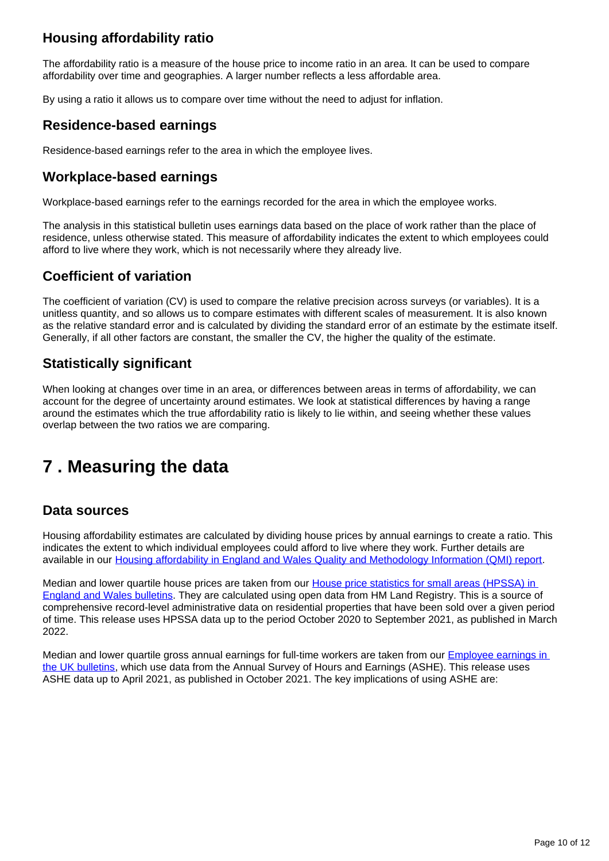### **Housing affordability ratio**

The affordability ratio is a measure of the house price to income ratio in an area. It can be used to compare affordability over time and geographies. A larger number reflects a less affordable area.

By using a ratio it allows us to compare over time without the need to adjust for inflation.

### **Residence-based earnings**

Residence-based earnings refer to the area in which the employee lives.

### **Workplace-based earnings**

Workplace-based earnings refer to the earnings recorded for the area in which the employee works.

The analysis in this statistical bulletin uses earnings data based on the place of work rather than the place of residence, unless otherwise stated. This measure of affordability indicates the extent to which employees could afford to live where they work, which is not necessarily where they already live.

### **Coefficient of variation**

The coefficient of variation (CV) is used to compare the relative precision across surveys (or variables). It is a unitless quantity, and so allows us to compare estimates with different scales of measurement. It is also known as the relative standard error and is calculated by dividing the standard error of an estimate by the estimate itself. Generally, if all other factors are constant, the smaller the CV, the higher the quality of the estimate.

### **Statistically significant**

When looking at changes over time in an area, or differences between areas in terms of affordability, we can account for the degree of uncertainty around estimates. We look at statistical differences by having a range around the estimates which the true affordability ratio is likely to lie within, and seeing whether these values overlap between the two ratios we are comparing.

## <span id="page-9-0"></span>**7 . Measuring the data**

### **Data sources**

Housing affordability estimates are calculated by dividing house prices by annual earnings to create a ratio. This indicates the extent to which individual employees could afford to live where they work. Further details are available in our [Housing affordability in England and Wales Quality and Methodology Information \(QMI\) report](https://www.ons.gov.uk/peoplepopulationandcommunity/housing/qmis/housingaffordabilityinenglandandwales).

Median and lower quartile house prices are taken from our **House price statistics for small areas (HPSSA) in** [England and Wales bulletins.](https://www.ons.gov.uk/peoplepopulationandcommunity/housing/bulletins/housepricestatisticsforsmallareas/previousReleases) They are calculated using open data from HM Land Registry. This is a source of comprehensive record-level administrative data on residential properties that have been sold over a given period of time. This release uses HPSSA data up to the period October 2020 to September 2021, as published in March 2022.

Median and lower quartile gross annual earnings for full-time workers are taken from our [Employee earnings in](https://www.ons.gov.uk/employmentandlabourmarket/peopleinwork/earningsandworkinghours/bulletins/annualsurveyofhoursandearnings/previousReleases)  [the UK bulletins,](https://www.ons.gov.uk/employmentandlabourmarket/peopleinwork/earningsandworkinghours/bulletins/annualsurveyofhoursandearnings/previousReleases) which use data from the Annual Survey of Hours and Earnings (ASHE). This release uses ASHE data up to April 2021, as published in October 2021. The key implications of using ASHE are: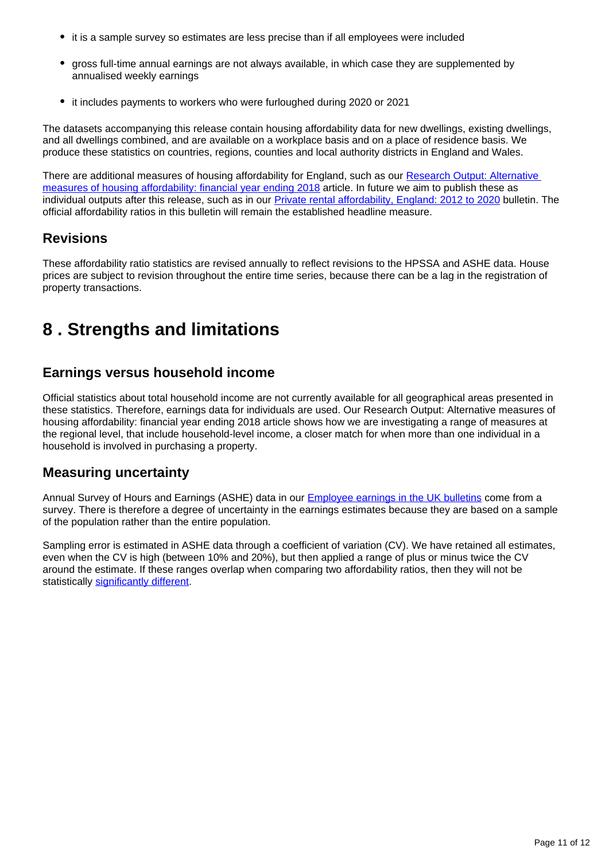- it is a sample survey so estimates are less precise than if all employees were included
- gross full-time annual earnings are not always available, in which case they are supplemented by annualised weekly earnings
- it includes payments to workers who were furloughed during 2020 or 2021

The datasets accompanying this release contain housing affordability data for new dwellings, existing dwellings, and all dwellings combined, and are available on a workplace basis and on a place of residence basis. We produce these statistics on countries, regions, counties and local authority districts in England and Wales.

There are additional measures of housing affordability for England, such as our [Research Output: Alternative](https://www.ons.gov.uk/peoplepopulationandcommunity/housing/articles/alternativemeasuresofhousingaffordability/financialyearending2018)  [measures of housing affordability: financial year ending 2018](https://www.ons.gov.uk/peoplepopulationandcommunity/housing/articles/alternativemeasuresofhousingaffordability/financialyearending2018) article. In future we aim to publish these as individual outputs after this release, such as in our *Private rental affordability*, England: 2012 to 2020 bulletin. The official affordability ratios in this bulletin will remain the established headline measure.

### **Revisions**

These affordability ratio statistics are revised annually to reflect revisions to the HPSSA and ASHE data. House prices are subject to revision throughout the entire time series, because there can be a lag in the registration of property transactions.

## <span id="page-10-0"></span>**8 . Strengths and limitations**

### **Earnings versus household income**

Official statistics about total household income are not currently available for all geographical areas presented in these statistics. Therefore, earnings data for individuals are used. Our Research Output: Alternative measures of housing affordability: financial year ending 2018 article shows how we are investigating a range of measures at the regional level, that include household-level income, a closer match for when more than one individual in a household is involved in purchasing a property.

### **Measuring uncertainty**

Annual Survey of Hours and Earnings (ASHE) data in our **[Employee earnings in the UK bulletins](https://www.ons.gov.uk/employmentandlabourmarket/peopleinwork/earningsandworkinghours/bulletins/annualsurveyofhoursandearnings/previousReleases)** come from a survey. There is therefore a degree of uncertainty in the earnings estimates because they are based on a sample of the population rather than the entire population.

Sampling error is estimated in ASHE data through a coefficient of variation (CV). We have retained all estimates, even when the CV is high (between 10% and 20%), but then applied a range of plus or minus twice the CV around the estimate. If these ranges overlap when comparing two affordability ratios, then they will not be statistically [significantly different.](https://www.ons.gov.uk/methodology/methodologytopicsandstatisticalconcepts/uncertaintyandhowwemeasureit#:~:text=Statistical%20significance,-We%20can%20use&text=A%20result%20is%20said%20to,variable%20nature%20of%20the%20samples.)